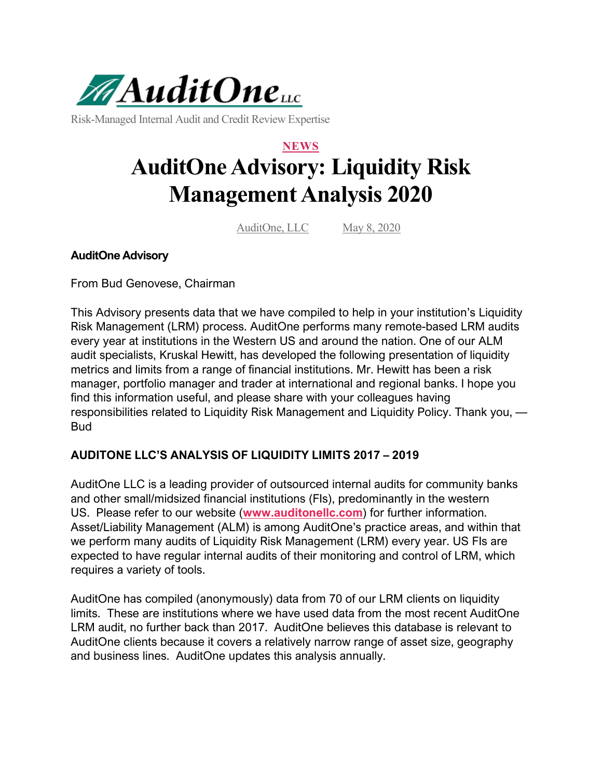

Risk-Managed Internal Audit and Credit Review Expertise

# **NEWS AuditOne Advisory: Liquidity Risk Management Analysis 2020**

AuditOne, LLC May 8, 2020

# **AuditOne Advisory**

From Bud Genovese, Chairman

This Advisory presents data that we have compiled to help in your institution's Liquidity Risk Management (LRM) process. AuditOne performs many remote-based LRM audits every year at institutions in the Western US and around the nation. One of our ALM audit specialists, Kruskal Hewitt, has developed the following presentation of liquidity metrics and limits from a range of financial institutions. Mr. Hewitt has been a risk manager, portfolio manager and trader at international and regional banks. I hope you find this information useful, and please share with your colleagues having responsibilities related to Liquidity Risk Management and Liquidity Policy. Thank you, — Bud

# **AUDITONE LLC'S ANALYSIS OF LIQUIDITY LIMITS 2017 – 2019**

AuditOne LLC is a leading provider of outsourced internal audits for community banks and other small/midsized financial institutions (FIs), predominantly in the western US. Please refer to our website (**[www.auditonellc.com](http://www.auditonellc.com/)**) for further information. Asset/Liability Management (ALM) is among AuditOne's practice areas, and within that we perform many audits of Liquidity Risk Management (LRM) every year. US FIs are expected to have regular internal audits of their monitoring and control of LRM, which requires a variety of tools.

AuditOne has compiled (anonymously) data from 70 of our LRM clients on liquidity limits. These are institutions where we have used data from the most recent AuditOne LRM audit, no further back than 2017. AuditOne believes this database is relevant to AuditOne clients because it covers a relatively narrow range of asset size, geography and business lines. AuditOne updates this analysis annually.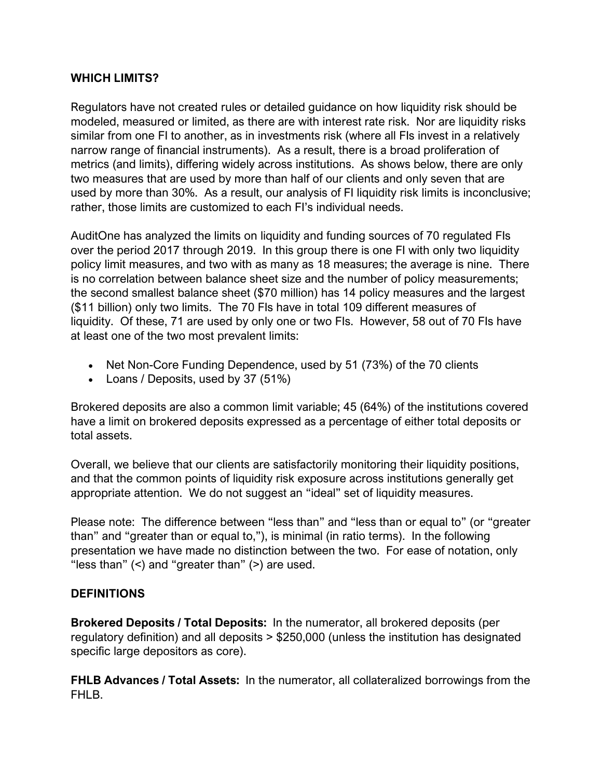## **WHICH LIMITS?**

Regulators have not created rules or detailed guidance on how liquidity risk should be modeled, measured or limited, as there are with interest rate risk. Nor are liquidity risks similar from one FI to another, as in investments risk (where all FIs invest in a relatively narrow range of financial instruments). As a result, there is a broad proliferation of metrics (and limits), differing widely across institutions. As shows below, there are only two measures that are used by more than half of our clients and only seven that are used by more than 30%. As a result, our analysis of FI liquidity risk limits is inconclusive; rather, those limits are customized to each FI's individual needs.

AuditOne has analyzed the limits on liquidity and funding sources of 70 regulated FIs over the period 2017 through 2019. In this group there is one FI with only two liquidity policy limit measures, and two with as many as 18 measures; the average is nine. There is no correlation between balance sheet size and the number of policy measurements; the second smallest balance sheet (\$70 million) has 14 policy measures and the largest (\$11 billion) only two limits. The 70 FIs have in total 109 different measures of liquidity. Of these, 71 are used by only one or two FIs. However, 58 out of 70 FIs have at least one of the two most prevalent limits:

- Net Non-Core Funding Dependence, used by 51 (73%) of the 70 clients
- Loans / Deposits, used by 37 (51%)

Brokered deposits are also a common limit variable; 45 (64%) of the institutions covered have a limit on brokered deposits expressed as a percentage of either total deposits or total assets.

Overall, we believe that our clients are satisfactorily monitoring their liquidity positions, and that the common points of liquidity risk exposure across institutions generally get appropriate attention. We do not suggest an "ideal" set of liquidity measures.

Please note: The difference between "less than" and "less than or equal to" (or "greater than" and "greater than or equal to,"), is minimal (in ratio terms). In the following presentation we have made no distinction between the two. For ease of notation, only "less than" (<) and "greater than" (>) are used.

## **DEFINITIONS**

**Brokered Deposits / Total Deposits:** In the numerator, all brokered deposits (per regulatory definition) and all deposits > \$250,000 (unless the institution has designated specific large depositors as core).

**FHLB Advances / Total Assets:** In the numerator, all collateralized borrowings from the FHI<sub>B</sub>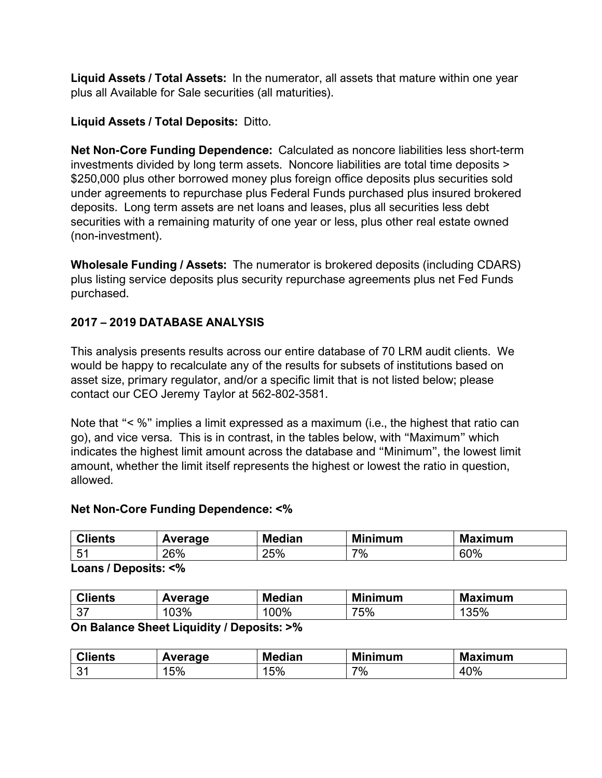**Liquid Assets / Total Assets:** In the numerator, all assets that mature within one year plus all Available for Sale securities (all maturities).

# **Liquid Assets / Total Deposits:** Ditto.

**Net Non-Core Funding Dependence:** Calculated as noncore liabilities less short-term investments divided by long term assets. Noncore liabilities are total time deposits > \$250,000 plus other borrowed money plus foreign office deposits plus securities sold under agreements to repurchase plus Federal Funds purchased plus insured brokered deposits. Long term assets are net loans and leases, plus all securities less debt securities with a remaining maturity of one year or less, plus other real estate owned (non-investment).

**Wholesale Funding / Assets:** The numerator is brokered deposits (including CDARS) plus listing service deposits plus security repurchase agreements plus net Fed Funds purchased.

# **2017 – 2019 DATABASE ANALYSIS**

This analysis presents results across our entire database of 70 LRM audit clients. We would be happy to recalculate any of the results for subsets of institutions based on asset size, primary regulator, and/or a specific limit that is not listed below; please contact our CEO Jeremy Taylor at 562-802-3581.

Note that "< %" implies a limit expressed as a maximum (i.e., the highest that ratio can go), and vice versa. This is in contrast, in the tables below, with "Maximum" which indicates the highest limit amount across the database and "Minimum", the lowest limit amount, whether the limit itself represents the highest or lowest the ratio in question, allowed.

## **Net Non-Core Funding Dependence: <%**

| AU.<br><b>Clients</b> | Average | <b>Median</b> | Mi<br>linimum | <b>Maximum</b> |
|-----------------------|---------|---------------|---------------|----------------|
| Б.<br>. ن             | 26%     | 25%           | 7%            | 60%            |

**Loans / Deposits: <%**

| $\sim$ $\sim$<br><b>Clients</b> | Average | <b>Median</b> | <b>Minimum</b> | Maximum<br>IVI. |
|---------------------------------|---------|---------------|----------------|-----------------|
| $\sim$<br>، ب                   | 103%    | 00%           | 75%            | 35%             |

#### **On Balance Sheet Liquidity / Deposits: >%**

| <b>Clients</b>    | Average | <b>Median</b> | <b>Minimum</b> | <b>Maximum</b> |
|-------------------|---------|---------------|----------------|----------------|
| $^{\circ}$<br>ັບເ | 15%     | 15%           | 7%             | 40%            |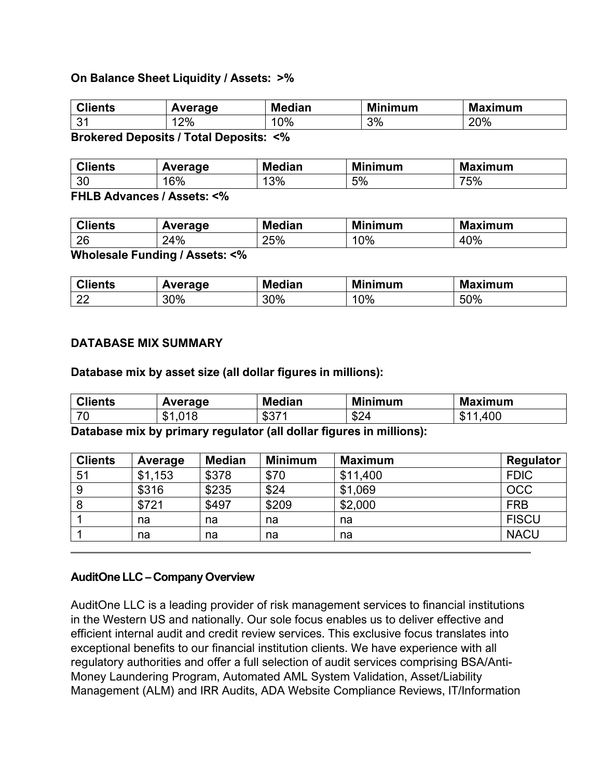#### **On Balance Sheet Liquidity / Assets: >%**

| <b>Clients</b>                                            | Average | <b>Median</b> | <b>Minimum</b> | <b>Maximum</b> |  |
|-----------------------------------------------------------|---------|---------------|----------------|----------------|--|
| $\Omega$<br>ູບ.                                           | 2%      | 0%            | 3%             | 20%            |  |
| $\equiv$<br>--<br>$\ddot{\phantom{a}}$<br>. .<br>.<br>. . |         |               |                |                |  |

**Brokered Deposits / Total Deposits: <%**

| <b>Clients</b> | Average | <b>Median</b> | linimum | <b>Maximum</b> |
|----------------|---------|---------------|---------|----------------|
| 30             | 16%     | 3%            | 5%      | 75%            |
| ------         | $\sim$  |               |         |                |

**FHLB Advances / Assets: <%**

| $\sim$ $\sim$<br><b>Clients</b>      | Average | ledian | Mi<br>inimum | <b>Maximum</b> |  |
|--------------------------------------|---------|--------|--------------|----------------|--|
| 26                                   | 24%     | 25%    | 10%          | +0%<br>4       |  |
| $\sim$<br>----<br>$- -$<br>__<br>. . |         |        |              |                |  |

**Wholesale Funding / Assets: <%**

| $\sim$ $\approx$<br><b>Clients</b> | Average | <b>Median</b> | <b>Minimum</b> | <b>Maximum</b> |
|------------------------------------|---------|---------------|----------------|----------------|
| $\cap$<br>ᅩ                        | 30%     | 30%           | $0\%$<br>י ט   | 50%            |

#### **DATABASE MIX SUMMARY**

**Database mix by asset size (all dollar figures in millions):**

| $\sim$ $\blacksquare$<br>Clients | Average                  | <b>Median</b> | <b>Minimum</b> | <b>Maximum</b>    |
|----------------------------------|--------------------------|---------------|----------------|-------------------|
| $\overline{\phantom{a}}$         | .018<br>ጡ 4<br>.01<br>D. | ホワライ<br>ּ טּס | \$24<br>∴ ⊅ک   | 400<br>œ<br>- ALD |

**Database mix by primary regulator (all dollar figures in millions):**

| <b>Clients</b> | Average | <b>Median</b> | <b>Minimum</b> | <b>Maximum</b> | <b>Regulator</b> |
|----------------|---------|---------------|----------------|----------------|------------------|
| 51             | \$1,153 | \$378         | \$70           | \$11,400       | <b>FDIC</b>      |
| 9              | \$316   | \$235         | \$24           | \$1,069        | <b>OCC</b>       |
|                | \$721   | \$497         | \$209          | \$2,000        | <b>FRB</b>       |
|                | na      | na            | na             | na             | <b>FISCU</b>     |
|                | na      | na            | na             | na             | <b>NACU</b>      |

## **AuditOne LLC – Company Overview**

AuditOne LLC is a leading provider of risk management services to financial institutions in the Western US and nationally. Our sole focus enables us to deliver effective and efficient internal audit and credit review services. This exclusive focus translates into exceptional benefits to our financial institution clients. We have experience with all regulatory authorities and offer a full selection of audit services comprising BSA/Anti-Money Laundering Program, Automated AML System Validation, Asset/Liability Management (ALM) and IRR Audits, ADA Website Compliance Reviews, IT/Information